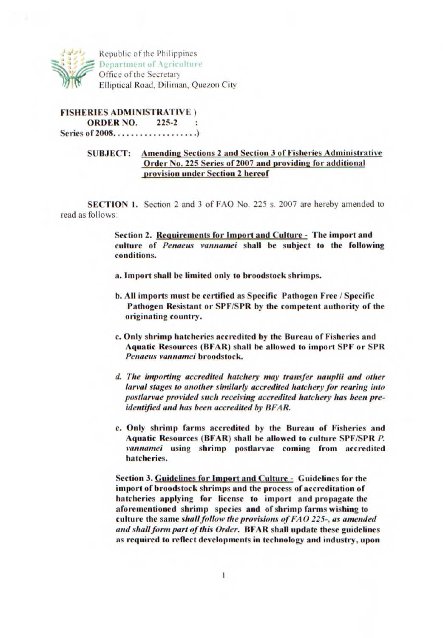

**I Republic of the Philippines Department of Agriculture Office of the Secretary Elliptical Road, Diliman, Quezon City** 

**FISHERIES ADMINISTRATIVE) ORDER NO. 225-2**  $\cdot$ **Series of2008 ................... )** 

## **SUBJECT:** Amending Sections 2 and Section 3 of Fisheries Administrative **Order No. 225 Series of 2007 and providing for additional provision under Section 2 hereof**

**SECTION 1. Section 2 and 3 of FAO No. 225 s. 2007 are hereby amended to read as follows:** 

> **Section 2. Requirements for Import and Culture - The import and culture of** *Penaeus vannamei* **shall be subject to the following conditions.**

- **a. Import shall be limited only to broodstock shrimps.**
- **b. tll imports must be certified as Specific Pathogen Free / Specific Pathogen Resistant or SPF/SPR by the competent authority of the originating country.**
- **c. Only shrimp hatcheries accredited by the Bureau of Fisheries and Aquatic Resources (BFAR) shall be allowed to import SPF or SPR**  *Penaeus vannamei* **broodstock.**
- *L The importing accredited hatchery may transfer nauplii and other larval stages to another similarly accredited hatchery for rearing into postlarvae provided such receiving accredited hatchery has been preidentified and has been accredited by BFAR.*
- **e. Only shrimp farms accredited by the Bureau of Fisheries and Aquatic Resources (BFAR) shall be allowed to culture SPF/SPR** *P. vannamei* **using shrimp postlarvae coming from accredited hatcheries.**

**Section 3. Guidelines for Import and Culture - Guidelines for the import of broodstock shrimps and the process of accreditation of hatcheries applying for license to import and propagate the aforementioned shrimp species and of shrimp farms wishing to**  *culture the same shallfollow the provisions of FAO 225-, as amended and shall form part of this Order.* **BFAR shall update these guidelines as required to reflect developments in technology and industry, upon**